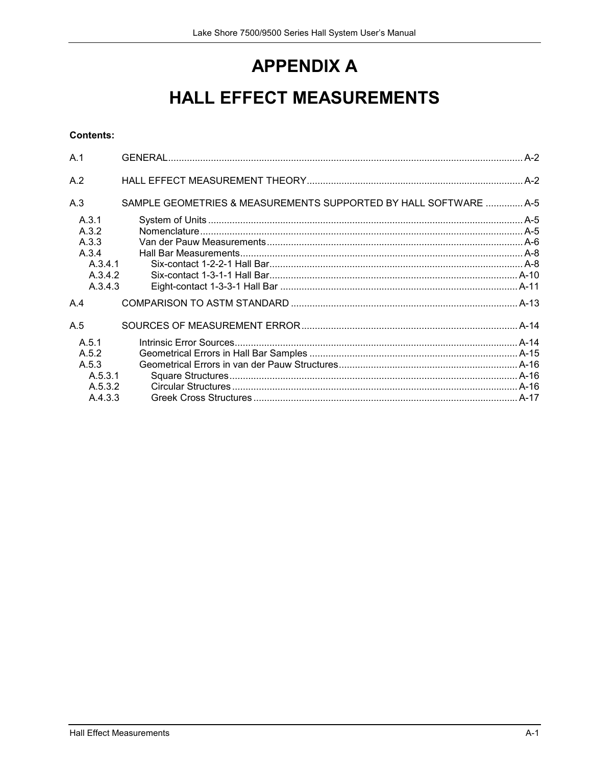# **APPENDIX A**

# **HALL EFFECT MEASUREMENTS**

## **Contents:**

| A.1     |                                                                  |  |
|---------|------------------------------------------------------------------|--|
| A.2     |                                                                  |  |
| A.3     | SAMPLE GEOMETRIES & MEASUREMENTS SUPPORTED BY HALL SOFTWARE  A-5 |  |
| A.3.1   |                                                                  |  |
| A.3.2   |                                                                  |  |
| A.3.3   |                                                                  |  |
| A.3.4   |                                                                  |  |
| A.3.4.1 |                                                                  |  |
| A.3.4.2 |                                                                  |  |
| A.3.4.3 |                                                                  |  |
| A.4     |                                                                  |  |
| A.5     |                                                                  |  |
| A.5.1   |                                                                  |  |
| A.5.2   |                                                                  |  |
| A.5.3   |                                                                  |  |
| A.5.3.1 |                                                                  |  |
| A.5.3.2 |                                                                  |  |
| A 4 3 3 |                                                                  |  |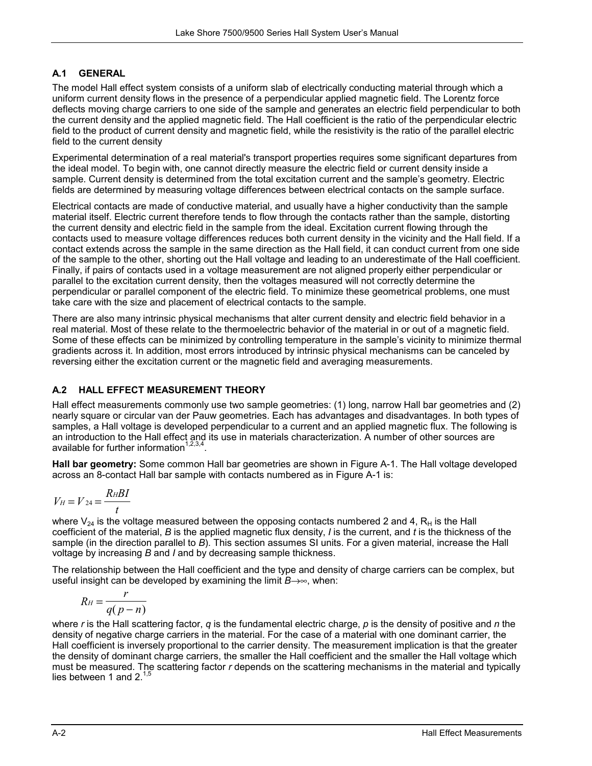## **A.1 GENERAL**

The model Hall effect system consists of a uniform slab of electrically conducting material through which a uniform current density flows in the presence of a perpendicular applied magnetic field. The Lorentz force deflects moving charge carriers to one side of the sample and generates an electric field perpendicular to both the current density and the applied magnetic field. The Hall coefficient is the ratio of the perpendicular electric field to the product of current density and magnetic field, while the resistivity is the ratio of the parallel electric field to the current density

Experimental determination of a real material's transport properties requires some significant departures from the ideal model. To begin with, one cannot directly measure the electric field or current density inside a sample. Current density is determined from the total excitation current and the sample's geometry. Electric fields are determined by measuring voltage differences between electrical contacts on the sample surface.

Electrical contacts are made of conductive material, and usually have a higher conductivity than the sample material itself. Electric current therefore tends to flow through the contacts rather than the sample, distorting the current density and electric field in the sample from the ideal. Excitation current flowing through the contacts used to measure voltage differences reduces both current density in the vicinity and the Hall field. If a contact extends across the sample in the same direction as the Hall field, it can conduct current from one side of the sample to the other, shorting out the Hall voltage and leading to an underestimate of the Hall coefficient. Finally, if pairs of contacts used in a voltage measurement are not aligned properly either perpendicular or parallel to the excitation current density, then the voltages measured will not correctly determine the perpendicular or parallel component of the electric field. To minimize these geometrical problems, one must take care with the size and placement of electrical contacts to the sample.

There are also many intrinsic physical mechanisms that alter current density and electric field behavior in a real material. Most of these relate to the thermoelectric behavior of the material in or out of a magnetic field. Some of these effects can be minimized by controlling temperature in the sample's vicinity to minimize thermal gradients across it. In addition, most errors introduced by intrinsic physical mechanisms can be canceled by reversing either the excitation current or the magnetic field and averaging measurements.

# **A.2 HALL EFFECT MEASUREMENT THEORY**

Hall effect measurements commonly use two sample geometries: (1) long, narrow Hall bar geometries and (2) nearly square or circular van der Pauw geometries. Each has advantages and disadvantages. In both types of samples, a Hall voltage is developed perpendicular to a current and an applied magnetic flux. The following is an introduction to the Hall effect and its use in materials characterization. A number of other sources are available for further information<sup>1,2,3,4</sup>

**Hall bar geometry:** Some common Hall bar geometries are shown in Figure A-1. The Hall voltage developed across an 8-contact Hall bar sample with contacts numbered as in Figure A-1 is:

$$
V_H = V_{24} = \frac{R_H B I}{t}
$$

where  $V_{24}$  is the voltage measured between the opposing contacts numbered 2 and 4,  $R_H$  is the Hall coefficient of the material, *B* is the applied magnetic flux density, *I* is the current, and *t* is the thickness of the sample (in the direction parallel to *B*). This section assumes SI units. For a given material, increase the Hall voltage by increasing *B* and *I* and by decreasing sample thickness.

The relationship between the Hall coefficient and the type and density of charge carriers can be complex, but useful insight can be developed by examining the limit  $B\rightarrow\infty$ , when:

$$
R_H = \frac{r}{q(p-n)}
$$

where *r* is the Hall scattering factor, *q* is the fundamental electric charge, *p* is the density of positive and *n* the density of negative charge carriers in the material. For the case of a material with one dominant carrier, the Hall coefficient is inversely proportional to the carrier density. The measurement implication is that the greater the density of dominant charge carriers, the smaller the Hall coefficient and the smaller the Hall voltage which must be measured. The scattering factor *r* depends on the scattering mechanisms in the material and typically lies between 1 and 2. $1,5$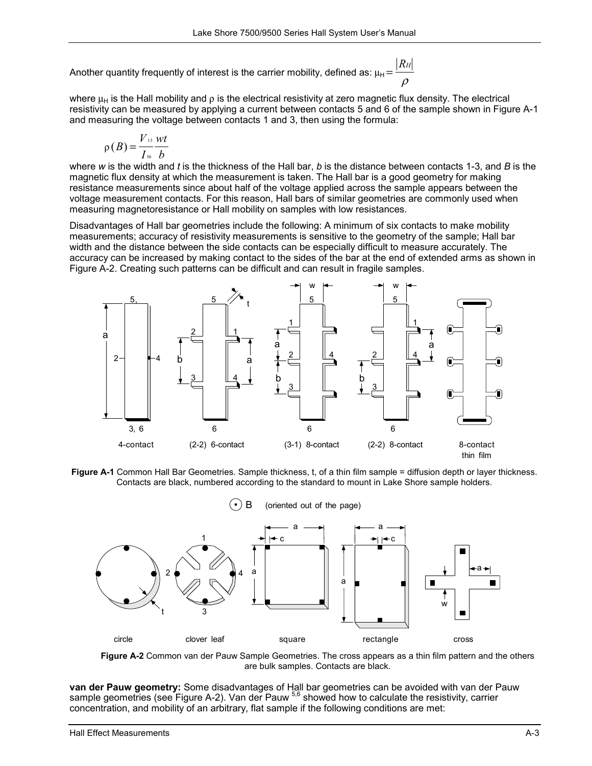Another quantity frequently of interest is the carrier mobility, defined as:  $\mu_{\rm H} \! = \! \frac{\mid\! R_H\! \mid}{\mid}$ ρ

where  $\mu_H$  is the Hall mobility and  $\rho$  is the electrical resistivity at zero magnetic flux density. The electrical resistivity can be measured by applying a current between contacts 5 and 6 of the sample shown in Figure A-1 and measuring the voltage between contacts 1 and 3, then using the formula:

$$
\rho(B) = \frac{V_{13} Wt}{I_{56} b}
$$

where *w* is the width and *t* is the thickness of the Hall bar, *b* is the distance between contacts 1-3, and *B* is the magnetic flux density at which the measurement is taken. The Hall bar is a good geometry for making resistance measurements since about half of the voltage applied across the sample appears between the voltage measurement contacts. For this reason, Hall bars of similar geometries are commonly used when measuring magnetoresistance or Hall mobility on samples with low resistances.

Disadvantages of Hall bar geometries include the following: A minimum of six contacts to make mobility measurements; accuracy of resistivity measurements is sensitive to the geometry of the sample; Hall bar width and the distance between the side contacts can be especially difficult to measure accurately. The accuracy can be increased by making contact to the sides of the bar at the end of extended arms as shown in Figure A-2. Creating such patterns can be difficult and can result in fragile samples.



**Figure A-1** Common Hall Bar Geometries. Sample thickness, t, of a thin film sample = diffusion depth or layer thickness. Contacts are black, numbered according to the standard to mount in Lake Shore sample holders.



**Figure A-2** Common van der Pauw Sample Geometries. The cross appears as a thin film pattern and the others are bulk samples. Contacts are black.

**van der Pauw geometry:** Some disadvantages of Hall bar geometries can be avoided with van der Pauw sample geometries (see Figure A-2). Van der Pauw <sup>5,6</sup> showed how to calculate the resistivity, carrier concentration, and mobility of an arbitrary, flat sample if the following conditions are met: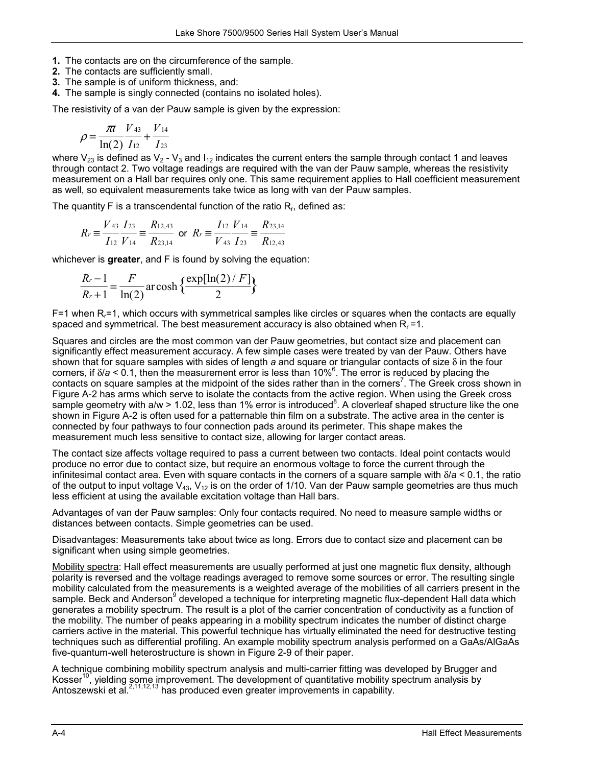- **1.** The contacts are on the circumference of the sample.
- **2.** The contacts are sufficiently small.
- **3.** The sample is of uniform thickness, and:
- **4.** The sample is singly connected (contains no isolated holes).

The resistivity of a van der Pauw sample is given by the expression:

$$
\rho = \frac{\pi t}{\ln(2)} \frac{V_{43}}{I_{12}} + \frac{V_{14}}{I_{23}}
$$

where  $V_{23}$  is defined as  $V_2$  -  $V_3$  and  $I_{12}$  indicates the current enters the sample through contact 1 and leaves through contact 2. Two voltage readings are required with the van der Pauw sample, whereas the resistivity measurement on a Hall bar requires only one. This same requirement applies to Hall coefficient measurement as well, so equivalent measurements take twice as long with van der Pauw samples.

The quantity  $F$  is a transcendental function of the ratio  $R<sub>r</sub>$ , defined as:

$$
R_r \equiv \frac{V_{43}}{I_{12}} \frac{I_{23}}{V_{14}} \equiv \frac{R_{12,43}}{R_{23,14}} \text{ or } R_r \equiv \frac{I_{12}}{V_{43}} \frac{V_{14}}{I_{23}} \equiv \frac{R_{23,14}}{R_{12,43}}
$$

whichever is **greater**, and F is found by solving the equation:

$$
\frac{R_r-1}{R_r+1} = \frac{F}{\ln(2)} \operatorname{ar} \cosh \left\{ \frac{\exp[\ln(2)/F]}{2} \right\}
$$

 $F=1$  when R<sub>r</sub>=1, which occurs with symmetrical samples like circles or squares when the contacts are equally spaced and symmetrical. The best measurement accuracy is also obtained when  $R<sub>r</sub> = 1$ .

Squares and circles are the most common van der Pauw geometries, but contact size and placement can significantly effect measurement accuracy. A few simple cases were treated by van der Pauw. Others have shown that for square samples with sides of length *a* and square or triangular contacts of size δ in the four corners, if δ/a < 0.1, then the measurement error is less than 10%<sup>6</sup>. The error is reduced by placing the contacts on square samples at the midpoint of the sides rather than in the corners<sup>7</sup>. The Greek cross shown in Figure A-2 has arms which serve to isolate the contacts from the active region. When using the Greek cross sample geometry with a/w > 1.02, less than 1% error is introduced<sup>8</sup>. A cloverleaf shaped structure like the one shown in Figure A-2 is often used for a patternable thin film on a substrate. The active area in the center is connected by four pathways to four connection pads around its perimeter. This shape makes the measurement much less sensitive to contact size, allowing for larger contact areas.

The contact size affects voltage required to pass a current between two contacts. Ideal point contacts would produce no error due to contact size, but require an enormous voltage to force the current through the infinitesimal contact area. Even with square contacts in the corners of a square sample with δ/*a* < 0.1, the ratio of the output to input voltage  $V_{43}$ ,  $V_{12}$  is on the order of 1/10. Van der Pauw sample geometries are thus much less efficient at using the available excitation voltage than Hall bars.

Advantages of van der Pauw samples: Only four contacts required. No need to measure sample widths or distances between contacts. Simple geometries can be used.

Disadvantages: Measurements take about twice as long. Errors due to contact size and placement can be significant when using simple geometries.

Mobility spectra: Hall effect measurements are usually performed at just one magnetic flux density, although polarity is reversed and the voltage readings averaged to remove some sources or error. The resulting single mobility calculated from the measurements is a weighted average of the mobilities of all carriers present in the sample. Beck and Anderson<sup>9</sup> developed a technique for interpreting magnetic flux-dependent Hall data which generates a mobility spectrum. The result is a plot of the carrier concentration of conductivity as a function of the mobility. The number of peaks appearing in a mobility spectrum indicates the number of distinct charge carriers active in the material. This powerful technique has virtually eliminated the need for destructive testing techniques such as differential profiling. An example mobility spectrum analysis performed on a GaAs/AlGaAs five-quantum-well heterostructure is shown in Figure 2-9 of their paper.

A technique combining mobility spectrum analysis and multi-carrier fitting was developed by Brugger and Kosser<sup>10</sup>, yielding some improvement. The development of quantitative mobility spectrum analysis by Antoszewski et al.<sup>2,11,12,13</sup> has produced even greater improvements in capability.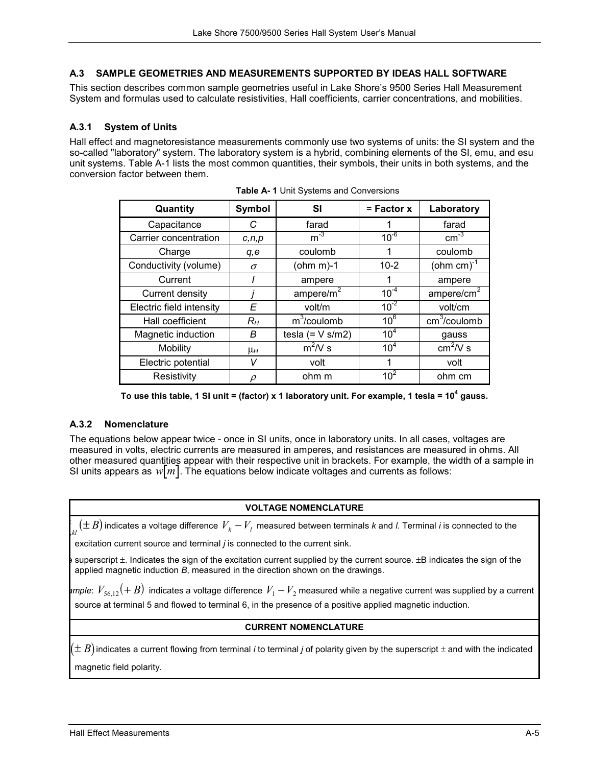## **A.3 SAMPLE GEOMETRIES AND MEASUREMENTS SUPPORTED BY IDEAS HALL SOFTWARE**

This section describes common sample geometries useful in Lake Shore's 9500 Series Hall Measurement System and formulas used to calculate resistivities, Hall coefficients, carrier concentrations, and mobilities.

## **A.3.1 System of Units**

Hall effect and magnetoresistance measurements commonly use two systems of units: the SI system and the so-called "laboratory" system. The laboratory system is a hybrid, combining elements of the SI, emu, and esu unit systems. Table A-1 lists the most common quantities, their symbols, their units in both systems, and the conversion factor between them.

| Quantity                 | Symbol   | SI                                    | $=$ Factor $x$  | Laboratory               |  |
|--------------------------|----------|---------------------------------------|-----------------|--------------------------|--|
| Capacitance              | C        | farad                                 |                 | farad                    |  |
| Carrier concentration    | c, n, p  | $m^{-3}$                              | $10^{-6}$       | $\text{cm}^{-3}$         |  |
| Charge                   | q,e      | coulomb<br>1                          |                 | coulomb                  |  |
| Conductivity (volume)    | $\sigma$ | $10 - 2$<br>(ohm m)-1                 |                 | (ohm cm) $^{-1}$         |  |
| Current                  |          | 1<br>ampere                           |                 | ampere                   |  |
| Current density          |          | $10^{-4}$<br>ampere/ $m2$             |                 | ampere/cm <sup>2</sup>   |  |
| Electric field intensity | E        | $10^{-2}$<br>volt/m                   |                 | volt/cm                  |  |
| Hall coefficient         | $R_H$    | $m^3$ /coulomb<br>10 <sup>6</sup>     |                 | cm <sup>3</sup> /coulomb |  |
| Magnetic induction       | B        | 10 <sup>4</sup><br>tesla $(= V s/m2)$ |                 | gauss                    |  |
| Mobility                 | $\mu_H$  | $m^2/V$ s                             | 10 <sup>4</sup> | $cm2/V$ s                |  |
| Electric potential       | v        | 1<br>volt                             |                 | volt                     |  |
| Resistivity              |          | ohm m                                 | 10 <sup>2</sup> | ohm cm                   |  |

**Table A- 1** Unit Systems and Conversions

|  | To use this table, 1 SI unit = (factor) x 1 laboratory unit. For example, 1 tesla = $10^4$ gauss. |  |  |  |
|--|---------------------------------------------------------------------------------------------------|--|--|--|
|--|---------------------------------------------------------------------------------------------------|--|--|--|

#### **A.3.2 Nomenclature**

The equations below appear twice - once in SI units, once in laboratory units. In all cases, voltages are measured in volts, electric currents are measured in amperes, and resistances are measured in ohms. All other measured quantities appear with their respective unit in brackets. For example, the width of a sample in SI units appears as  $w[m]$ . The equations below indicate voltages and currents as follows:

#### **VOLTAGE NOMENCLATURE**

 $\int_{kl} (\pm B)$  indicates a voltage difference  $V_k - V_l$  measured between terminals *k* and *l*. Terminal *i* is connected to the

excitation current source and terminal *j* is connected to the current sink.

superscript  $\pm$ . Indicates the sign of the excitation current supplied by the current source.  $\pm$ B indicates the sign of the applied magnetic induction *B*, measured in the direction shown on the drawings.

*ample:*  $V_{56,12}^{-}(+B)$  indicates a voltage difference  $V_1-V_2$  measured while a negative current was supplied by a current source at terminal 5 and flowed to terminal 6, in the presence of a positive applied magnetic induction.

## **CURRENT NOMENCLATURE**

 $(\pm\, B)$  indicates a current flowing from terminal *i* to terminal *j* of polarity given by the superscript  $\pm$  and with the indicated magnetic field polarity.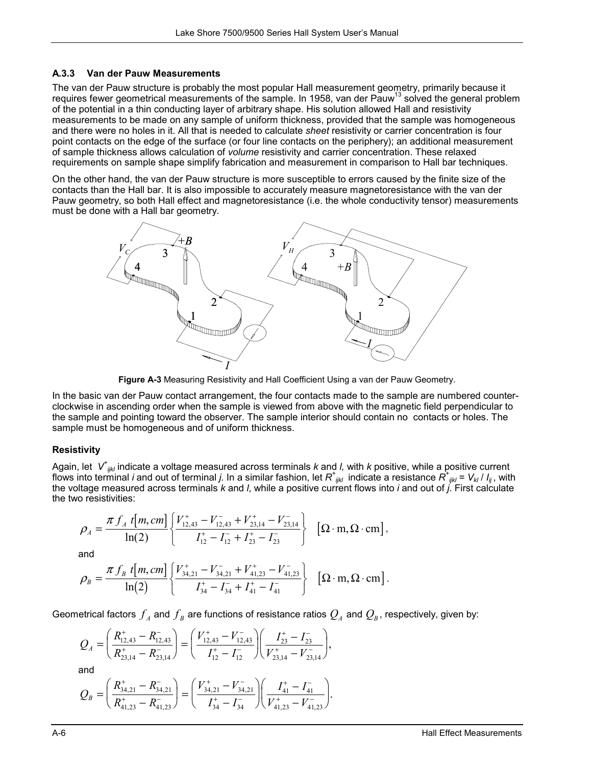## **A.3.3 Van der Pauw Measurements**

The van der Pauw structure is probably the most popular Hall measurement geometry, primarily because it requires fewer geometrical measurements of the sample. In 1958, van der Pauw<sup>13</sup> solved the general problem of the potential in a thin conducting layer of arbitrary shape. His solution allowed Hall and resistivity measurements to be made on any sample of uniform thickness, provided that the sample was homogeneous and there were no holes in it. All that is needed to calculate *sheet* resistivity or carrier concentration is four point contacts on the edge of the surface (or four line contacts on the periphery); an additional measurement of sample thickness allows calculation of *volume* resistivity and carrier concentration. These relaxed requirements on sample shape simplify fabrication and measurement in comparison to Hall bar techniques.

On the other hand, the van der Pauw structure is more susceptible to errors caused by the finite size of the contacts than the Hall bar. It is also impossible to accurately measure magnetoresistance with the van der Pauw geometry, so both Hall effect and magnetoresistance (i.e. the whole conductivity tensor) measurements must be done with a Hall bar geometry.



**Figure A-3** Measuring Resistivity and Hall Coefficient Using a van der Pauw Geometry.

In the basic van der Pauw contact arrangement, the four contacts made to the sample are numbered counterclockwise in ascending order when the sample is viewed from above with the magnetic field perpendicular to the sample and pointing toward the observer. The sample interior should contain no contacts or holes. The sample must be homogeneous and of uniform thickness.

## **Resistivity**

Again, let V<sup>+</sup><sub>ijk</sub> indicate a voltage measured across terminals k and l, with k positive, while a positive current flows into terminal *i* and out of terminal *j*. In a similar fashion, let *R<sup>+</sup> ijkl* indicate a resistance *R<sup>+</sup> ijkl* = *Vkl* / *Iij* , with the voltage measured across terminals *k* and *l*, while a positive current flows into *i* and out of *j*. First calculate the two resistivities:

$$
\rho_A = \frac{\pi f_A \ t[m, cm]}{\ln(2)} \left\{ \frac{V_{12,43}^+ - V_{12,43}^- + V_{23,14}^+ - V_{23,14}^-}{I_{12}^+ - I_{12}^- + I_{23}^+ - I_{23}^-} \right\} \ \ [\Omega \cdot m, \Omega \cdot \text{cm}],
$$

and

$$
\rho_B = \frac{\pi f_B t[m, cm]}{\ln(2)} \left\{ \frac{V_{34,21}^+ - V_{34,21}^- + V_{41,23}^+ - V_{41,23}^-}{I_{34}^+ - I_{34}^- + I_{41}^+ - I_{41}^-} \right\} \quad [\Omega \cdot m, \Omega \cdot cm].
$$

Geometrical factors  $f_{\scriptscriptstyle A}$  and  $f_{\scriptscriptstyle B}$  are functions of resistance ratios  $Q_{\scriptscriptstyle A}$  and  $Q_{\scriptscriptstyle B}$ , respectively, given by:

$$
Q_{A} = \left(\frac{R_{12,43}^{+} - R_{12,43}^{-}}{R_{23,14}^{+} - R_{23,14}^{-}}\right) = \left(\frac{V_{12,43}^{+} - V_{12,43}^{-}}{I_{12}^{+} - I_{12}^{-}}\right)\left(\frac{I_{23}^{+} - I_{23}^{-}}{V_{23,14}^{+} - V_{23,14}^{-}}\right),
$$
  
and  

$$
Q_{B} = \left(\frac{R_{34,21}^{+} - R_{34,21}^{-}}{R_{41,23}^{+} - R_{41,23}^{-}}\right) = \left(\frac{V_{34,21}^{+} - V_{34,21}^{-}}{I_{34}^{+} - I_{34}^{-}}\right)\left(\frac{I_{41}^{+} - I_{41}^{-}}{V_{41,23}^{+} - V_{41,23}^{-}}\right).
$$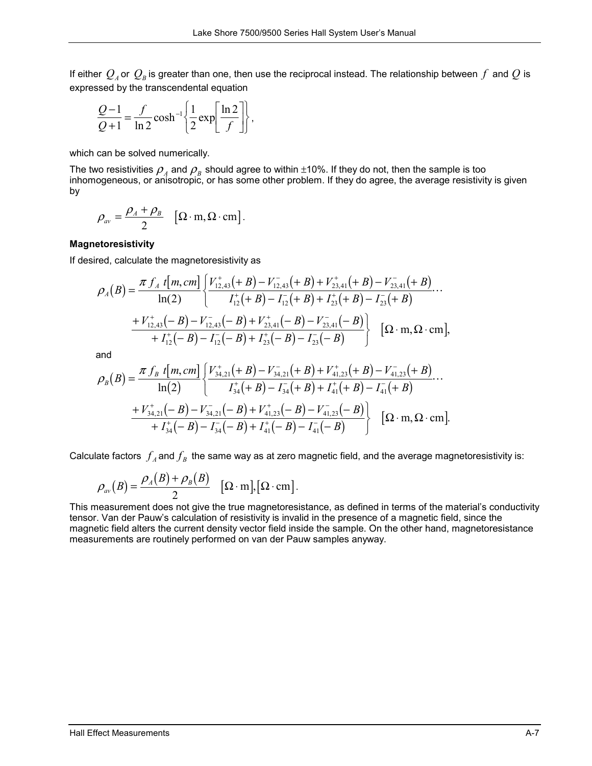If either  $Q_A$  or  $Q_B$  is greater than one, then use the reciprocal instead. The relationship between  $f$  and  $Q$  is expressed by the transcendental equation

$$
\frac{Q-1}{Q+1} = \frac{f}{\ln 2} \cosh^{-1} \left\{ \frac{1}{2} \exp \left[ \frac{\ln 2}{f} \right] \right\},\,
$$

which can be solved numerically.

The two resistivities  $\rho_A$  and  $\rho_B$  should agree to within  $\pm 10\%$ . If they do not, then the sample is too inhomogeneous, or anisotropic, or has some other problem. If they do agree, the average resistivity is given by

$$
\rho_{av} = \frac{\rho_A + \rho_B}{2} \quad [\Omega \cdot m, \Omega \cdot cm].
$$

#### **Magnetoresistivity**

If desired, calculate the magnetoresistivity as

$$
\rho_A(B) = \frac{\pi f_A t[m, cm]}{\ln(2)} \left\{ \frac{V_{12,43}^+(+B) - V_{12,43}^-(+B) + V_{23,41}^+(+B) - V_{23,41}^-(+B)}{I_1^+(+B) - I_1^-(+B) + I_2^+(+B) - I_{23}^-(+B)} \cdots \right. \\ \left. + V_{12,43}^+(-B) - V_{12,43}^-(-B) + V_{23,41}^+(-B) - V_{23,41}^-(-B) \right\} \left[ \Omega \cdot m, \Omega \cdot \text{cm} \right],
$$

and

$$
\rho_B(B) = \frac{\pi f_B \ t[m, cm]}{\ln(2)} \left\{ \frac{V_{34,21}^+ (B) - V_{34,21}^- (B) + V_{41,23}^+ (B) - V_{41,23}^- (B)}{I_{34}^+ (B) - I_{34}^- (B) + I_{41}^+ (B) - I_{41}^- (B)}} \cdots \right. \\
\left. + V_{34,21}^+ (-B) - V_{34,21}^- (-B) + V_{41,23}^+ (-B) - V_{41,23}^- (-B) \right\} \ \left[ \Omega \cdot m, \Omega \cdot \text{cm} \right].
$$

Calculate factors  $f_A$  and  $f_B$  the same way as at zero magnetic field, and the average magnetoresistivity is:

$$
\rho_{av}(B) = \frac{\rho_A(B) + \rho_B(B)}{2} \quad [\Omega \cdot m], [\Omega \cdot cm].
$$

This measurement does not give the true magnetoresistance, as defined in terms of the material's conductivity tensor. Van der Pauw's calculation of resistivity is invalid in the presence of a magnetic field, since the magnetic field alters the current density vector field inside the sample. On the other hand, magnetoresistance measurements are routinely performed on van der Pauw samples anyway.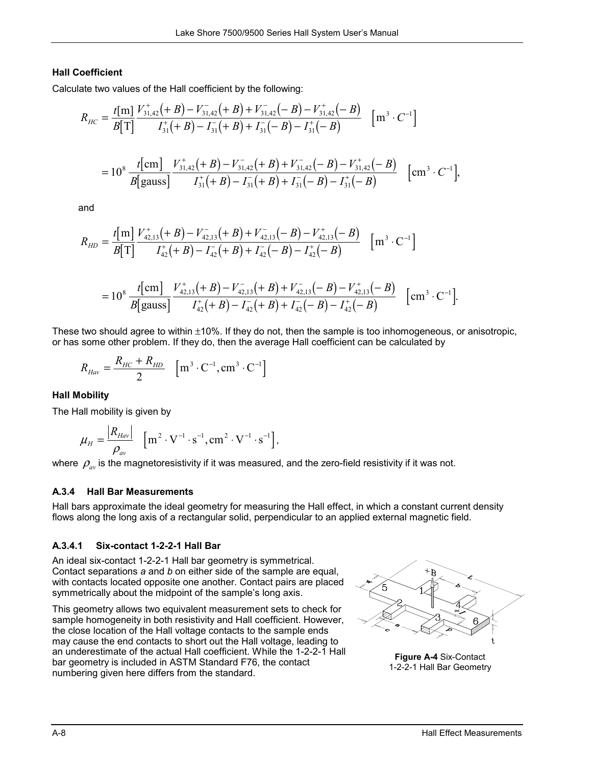# **Hall Coefficient**

Calculate two values of the Hall coefficient by the following:

$$
R_{HC} = \frac{t[m]}{B[T]} \frac{V_{31,42}^+(+B) - V_{31,42}^-(+B) + V_{31,42}^(-B) - V_{31,42}^+(-B)}{I_{31}^+(+B) - I_{31}^-(+B) + I_{31}^-(-B) - I_{31}^+(-B)} \quad [m^3 \cdot C^{-1}]
$$
  
=  $10^8 \frac{t[cm]}{B[gauss]} \frac{V_{31,42}^+(+B) - V_{31,42}^-(+B) + V_{31,42}^(-B) - V_{31,42}^+(-B)}{I_{31}^+(+B) - I_{31}^-(+B) + I_{31}^-(-B) - I_{31}^+(-B)} \quad [cm^3 \cdot C^{-1}],$ 

and

$$
R_{HD} = \frac{t[m]}{B[T]} \frac{V_{42,13}^+(+B) - V_{42,13}^-(+B) + V_{42,13}^-(-B) - V_{42,13}^+(-B)}{I_{42}^+(+B) - I_{42}^-(+B) + I_{42}^-(-B) - I_{42}^+(-B)} [m^3 \cdot C^{-1}]
$$

$$
=10^8 \frac{t[cm]}{B[gauss]} \frac{V_{42,13}^+(+B)-V_{42,13}^-(+B)+V_{42,13}^(-B)-V_{42,13}^+(-B)}{I_{42}^+(+B)-I_{42}^-(+B)+I_{42}^(--B)-I_{42}^+(-B)} \quad [\text{cm}^3 \cdot \text{C}^{-1}].
$$

These two should agree to within  $\pm 10\%$ . If they do not, then the sample is too inhomogeneous, or anisotropic, or has some other problem. If they do, then the average Hall coefficient can be calculated by

$$
R_{Hav} = \frac{R_{HC} + R_{HD}}{2} \quad \left[ \text{m}^{3} \cdot \text{C}^{-1}, \text{cm}^{3} \cdot \text{C}^{-1} \right]
$$

# **Hall Mobility**

The Hall mobility is given by

$$
\mu_{H} = \frac{|R_{Hav}|}{\rho_{av}} \quad \left[ \text{m}^{2} \cdot \text{V}^{-1} \cdot \text{s}^{-1}, \text{cm}^{2} \cdot \text{V}^{-1} \cdot \text{s}^{-1} \right],
$$

where  $\rho_{av}$  is the magnetoresistivity if it was measured, and the zero-field resistivity if it was not.

# **A.3.4 Hall Bar Measurements**

Hall bars approximate the ideal geometry for measuring the Hall effect, in which a constant current density flows along the long axis of a rectangular solid, perpendicular to an applied external magnetic field.

## **A.3.4.1 Six-contact 1-2-2-1 Hall Bar**

An ideal six-contact 1-2-2-1 Hall bar geometry is symmetrical. Contact separations *a* and *b* on either side of the sample are equal, with contacts located opposite one another. Contact pairs are placed symmetrically about the midpoint of the sample's long axis.

This geometry allows two equivalent measurement sets to check for sample homogeneity in both resistivity and Hall coefficient. However, the close location of the Hall voltage contacts to the sample ends may cause the end contacts to short out the Hall voltage, leading to an underestimate of the actual Hall coefficient. While the 1-2-2-1 Hall bar geometry is included in ASTM Standard F76, the contact numbering given here differs from the standard.



**Figure A-4** Six-Contact 1-2-2-1 Hall Bar Geometry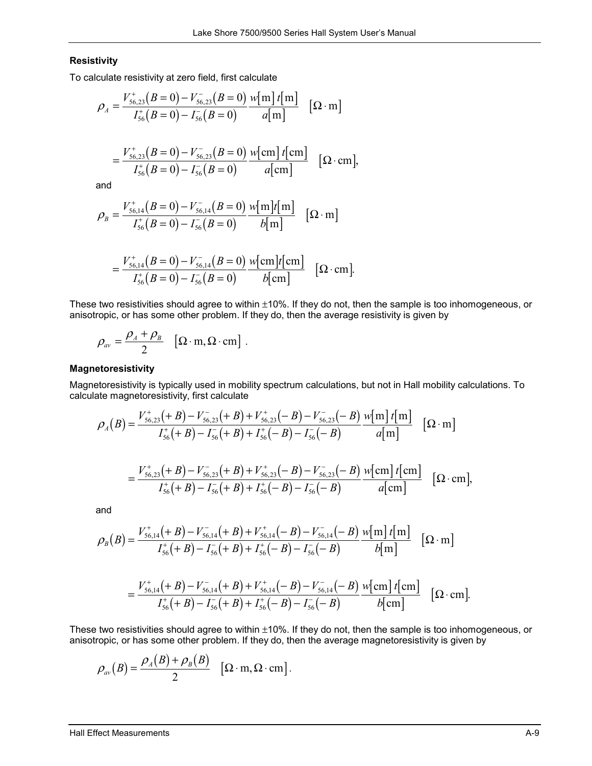#### **Resistivity**

To calculate resistivity at zero field, first calculate

$$
\rho_A = \frac{V_{56,23}^+(B=0) - V_{56,23}^-(B=0)}{I_{56}^+(B=0) - I_{56}^-(B=0)} \frac{w[m] t[m]}{a[m]} [\Omega \cdot m]
$$

$$
= \frac{V_{56,23}^+(B=0)-V_{56,23}^-(B=0)}{I_{56}^+(B=0)-I_{56}^-(B=0)} \frac{w[\text{cm}]\ t[\text{cm}]}{a[\text{cm}]} \quad [\Omega \cdot \text{cm}],
$$

and

$$
\rho_B = \frac{V_{56,14}^+(B=0) - V_{56,14}^-(B=0)}{I_{56}^+(B=0) - I_{56}^-(B=0)} \frac{w[m]t[m]}{b[m]} \quad [\Omega \cdot m]
$$

$$
= \frac{V_{56,14}^+(B=0)-V_{56,14}^-(B=0)}{I_{56}^+(B=0)-I_{56}^-(B=0)} \frac{w[\text{cm}]}{b[\text{cm}]} \quad [\Omega \cdot \text{cm}].
$$

These two resistivities should agree to within  $\pm 10\%$ . If they do not, then the sample is too inhomogeneous, or anisotropic, or has some other problem. If they do, then the average resistivity is given by

$$
\rho_{av} = \frac{\rho_A + \rho_B}{2} \left[ \Omega \cdot m, \Omega \cdot cm \right].
$$

### **Magnetoresistivity**

Magnetoresistivity is typically used in mobility spectrum calculations, but not in Hall mobility calculations. To calculate magnetoresistivity, first calculate

$$
\rho_A(B) = \frac{V_{56,23}^+(+B) - V_{56,23}^-(+B) + V_{56,23}^+(-B) - V_{56,23}^-(-B)}{I_{56}^+(+B) - I_{56}^-(+B) + I_{56}^+(-B) - I_{56}^-(-B)} \frac{w[m] t[m]}{a[m]} \quad [\Omega \cdot m]
$$

$$
= \frac{V_{56,23}^+(+B)-V_{56,23}^-(+B)+V_{56,23}^+(-B)-V_{56,23}^-(-B)}{I_{56}^+(+B)-I_{56}^-(+B)+I_{56}^+(-B)-I_{56}^-(-B)} \quad [\Omega\cdot\text{cm}],
$$

and

$$
\rho_B(B) = \frac{V_{56,14}^+(+B) - V_{56,14}^-(+B) + V_{56,14}^+(-B) - V_{56,14}^-(-B)}{I_{56}^+(+B) - I_{56}^-(+B) + I_{56}^+(-B) - I_{56}^-(-B)} \frac{\sqrt{m} \ln[t]{m}}{b[m]} \quad [\Omega \cdot m]
$$

$$
= \frac{V_{56,14}^+(+B)-V_{56,14}^-(+B)+V_{56,14}^+(-B)-V_{56,14}^-(-B)}{I_{56}^+(+B)-I_{56}^-(+B)+I_{56}^+(-B)-I_{56}^-(-B)} \quad \text{[Q-cm]} \quad [\Omega \cdot \text{cm}].
$$

These two resistivities should agree to within ±10%. If they do not, then the sample is too inhomogeneous, or anisotropic, or has some other problem. If they do, then the average magnetoresistivity is given by

$$
\rho_{av}(B) = \frac{\rho_A(B) + \rho_B(B)}{2} \quad [\Omega \cdot m, \Omega \cdot cm].
$$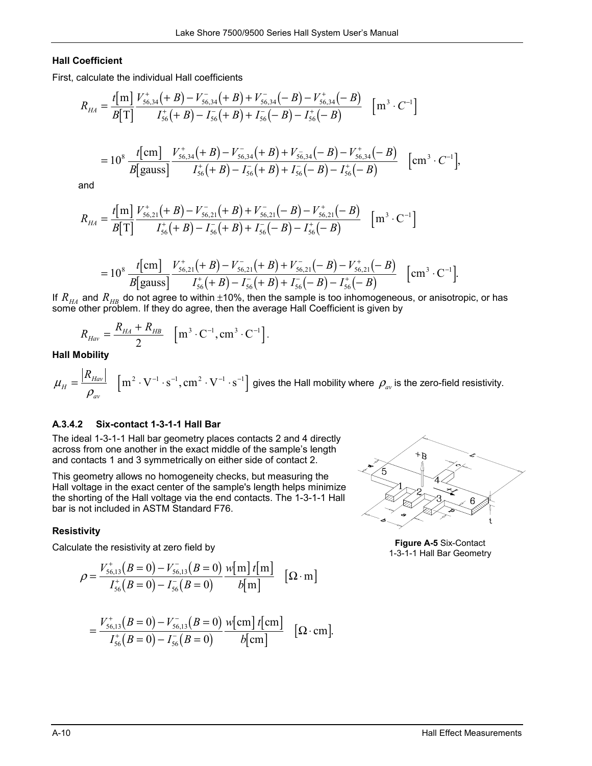## **Hall Coefficient**

First, calculate the individual Hall coefficients

$$
R_{HA} = \frac{t[m]}{B[T]} \frac{V_{56,34}^+(+B) - V_{56,34}^-(+B) + V_{56,34}^(-B) - V_{56,34}^+(-B)}{I_{56}^+(+B) - I_{56}^-(+B) + I_{56}^-(-B) - I_{56}^+(-B)} \quad [m^3 \cdot C^{-1}]
$$
  
from  $V^+$   $(+B)$   $V^ (+B) + V^ (-B) + V^+$   $(-B)$ 

$$
=10^8 \frac{t[cm]}{B[gauss]}\frac{V_{56,34}^+(+B)-V_{56,34}^-(+B)+V_{56,34}^-(-B)-V_{56,34}^+(-B)}{I_{56}^+(+B)-I_{56}^-(+B)+I_{56}^-(-B)-I_{56}^+(-B)} \quad [\text{cm}^3 \cdot C^{-1}],
$$

and

$$
R_{HA} = \frac{t[m]}{B[T]} \frac{V_{56,21}^+(+B) - V_{56,21}^-(+B) + V_{56,21}^(-B) - V_{56,21}^+(-B)}{I_{56}^+(+B) - I_{56}^-(+B) + I_{56}^-(-B) - I_{56}^+(-B)} [m^3 \cdot C^{-1}]
$$

$$
=10^8 \frac{t[cm]}{B[gauss]} \frac{V_{56,21}^+(+B)-V_{56,21}^-(+B)+V_{56,21}^-(-B)-V_{56,21}^+(-B)}{I_{56}^+(+B)-I_{56}^-(+B)+I_{56}^-(-B)-I_{56}^+(-B)} \quad [\text{cm}^3 \cdot \text{C}^{-1}].
$$

If  $R_{H\!A}$  and  $R_{H\!B}$  do not agree to within  $\pm$ 10%, then the sample is too inhomogeneous, or anisotropic, or has some other problem. If they do agree, then the average Hall Coefficient is given by

$$
R_{Hav} = \frac{R_{HA} + R_{HB}}{2} \quad [m^3 \cdot C^{-1}, cm^3 \cdot C^{-1}].
$$

#### **Hall Mobility**

$$
\mu_{H} = \frac{|R_{Hav}|}{\rho_{av}} \quad \left[ \text{m}^2 \cdot \text{V}^{-1} \cdot \text{s}^{-1}, \text{cm}^2 \cdot \text{V}^{-1} \cdot \text{s}^{-1} \right] \text{ gives the Hall mobility where } \rho_{av} \text{ is the zero-field resistivity.}
$$

#### **A.3.4.2 Six-contact 1-3-1-1 Hall Bar**

The ideal 1-3-1-1 Hall bar geometry places contacts 2 and 4 directly across from one another in the exact middle of the sample's length and contacts 1 and 3 symmetrically on either side of contact 2.

This geometry allows no homogeneity checks, but measuring the Hall voltage in the exact center of the sample's length helps minimize the shorting of the Hall voltage via the end contacts. The 1-3-1-1 Hall bar is not included in ASTM Standard F76.

#### **Resistivity**

Calculate the resistivity at zero field by

$$
\rho = \frac{V_{56,13}^+(B=0) - V_{56,13}^-(B=0)}{I_{56}^+(B=0) - I_{56}^-(B=0)} \frac{w[m] t[m]}{b[m]} \quad [\Omega \cdot m]
$$

$$
= \frac{V_{56,13}^+(B=0)-V_{56,13}^-(B=0)}{I_{56}^+(B=0)-I_{56}^-(B=0)} \frac{w[\text{cm}]}{b[\text{cm}]} \quad [\Omega \cdot \text{cm}].
$$



**Figure A-5** Six-Contact 1-3-1-1 Hall Bar Geometry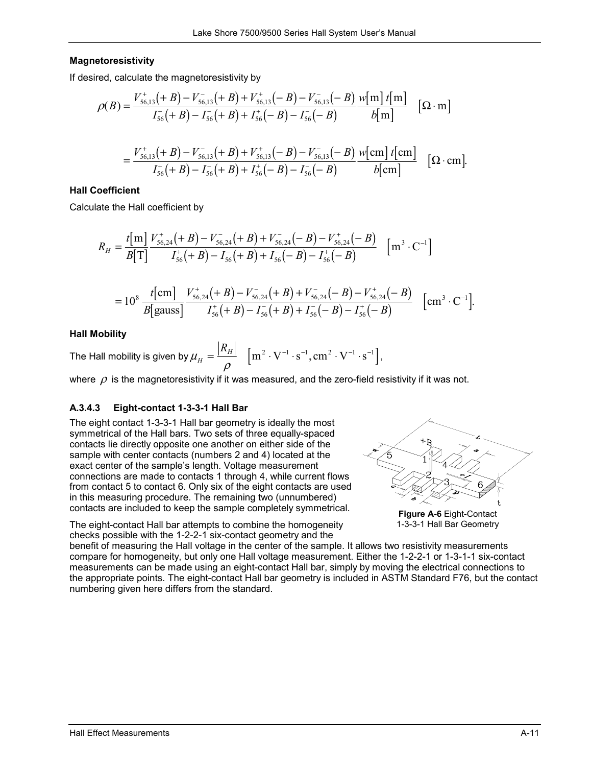## **Magnetoresistivity**

If desired, calculate the magnetoresistivity by

$$
\rho(B) = \frac{V_{56,13}^+(+B) - V_{56,13}^-(+B) + V_{56,13}^+(-B) - V_{56,13}^-(-B)}{I_{56}^+(+B) - I_{56}^-(+B) + I_{56}^+(-B) - I_{56}^-(-B)} \frac{w[m] t[m]}{b[m]} [\Omega \cdot m]
$$
  
= 
$$
\frac{V_{56,13}^+(+B) - V_{56,13}^-(+B) + V_{56,13}^+(-B) - V_{56,13}^-(-B)}{I_{56}^+(+B) - I_{56}^-(+B) + I_{56}^+(-B) - I_{56}^-(-B)} \frac{w[m] t[m]}{b[m]} [\Omega \cdot cm].
$$

### **Hall Coefficient**

Calculate the Hall coefficient by

$$
R_{H} = \frac{t[m]}{B[T]} \frac{V_{56,24}^{+}(+B) - V_{56,24}^{-}(+B) + V_{56,24}^{-}(+B) - V_{56,24}^{+}(+B)}{I_{56}^{+}(+B) - I_{56}^{-}(+B) + I_{56}^{-}(+B) - I_{56}^{+}(+B)} [m^{3} \cdot C^{-1}]
$$

$$
=10^8 \frac{t[\text{cm}]}{B[\text{gauss}]} \frac{V_{56,24}^+(+B)-V_{56,24}^-(+B)+V_{56,24}^-(-B)-V_{56,24}^+(-B)}{I_{56}^+(+B)-I_{56}^-(+B)+I_{56}^--(-B)-I_{56}^+(-B)} \quad [\text{cm}^3 \cdot \text{C}^{-1}].
$$

## **Hall Mobility**

The Hall mobility is given by  $\mu_{\scriptscriptstyle H} = \frac{\vert R_{\scriptscriptstyle H}\vert}{\rho} \quad \left[\text{m}^2\cdot \text{V}^{-1}\cdot \text{s}^{-1}, \text{cm}^2\cdot \text{V}^{-1}\cdot \text{s}^{-1}\right]$ ,

where  $\rho$  is the magnetoresistivity if it was measured, and the zero-field resistivity if it was not.

## **A.3.4.3 Eight-contact 1-3-3-1 Hall Bar**

The eight contact 1-3-3-1 Hall bar geometry is ideally the most symmetrical of the Hall bars. Two sets of three equally-spaced contacts lie directly opposite one another on either side of the sample with center contacts (numbers 2 and 4) located at the exact center of the sample's length. Voltage measurement connections are made to contacts 1 through 4, while current flows from contact 5 to contact 6. Only six of the eight contacts are used in this measuring procedure. The remaining two (unnumbered) contacts are included to keep the sample completely symmetrical.

The eight-contact Hall bar attempts to combine the homogeneity checks possible with the 1-2-2-1 six-contact geometry and the



**Figure A-6** Eight-Contact 1-3-3-1 Hall Bar Geometry

benefit of measuring the Hall voltage in the center of the sample. It allows two resistivity measurements compare for homogeneity, but only one Hall voltage measurement. Either the 1-2-2-1 or 1-3-1-1 six-contact measurements can be made using an eight-contact Hall bar, simply by moving the electrical connections to the appropriate points. The eight-contact Hall bar geometry is included in ASTM Standard F76, but the contact numbering given here differs from the standard.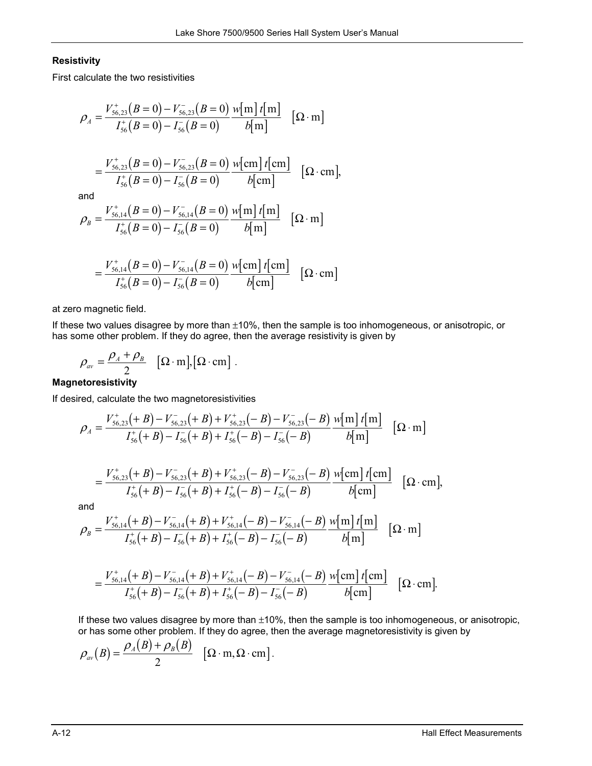## **Resistivity**

First calculate the two resistivities

$$
\rho_{A} = \frac{V_{56,23}^{+}(B=0) - V_{56,23}^{-}(B=0)}{I_{56}^{+}(B=0) - I_{56}^{-}(B=0)} \frac{w[m] t[m]}{b[m]} \quad [\Omega \cdot m]
$$

$$
= \frac{V_{56,23}^{+}(B=0) - V_{56,23}^{-}(B=0)}{I_{56}^{+}(B=0) - I_{56}^{-}(B=0)} \frac{w[cm] t[cm]}{b[cm]} \quad [\Omega \cdot cm],
$$
and
$$
\rho_{B} = \frac{V_{56,14}^{+}(B=0) - V_{56,14}^{-}(B=0)}{I_{56}^{+}(B=0) - I_{56}^{-}(B=0)} \frac{w[m] t[m]}{b[m]} \quad [\Omega \cdot m]
$$

$$
= \frac{V_{56,14}^+(B=0) - V_{56,14}^-(B=0)}{I_{56}^+(B=0) - I_{56}^-(B=0)} \frac{w[\text{cm}]\ t[\text{cm}]}{b[\text{cm}]} \ \ [\Omega \cdot \text{cm}]
$$

at zero magnetic field.

If these two values disagree by more than ±10%, then the sample is too inhomogeneous, or anisotropic, or has some other problem. If they do agree, then the average resistivity is given by

$$
\rho_{av} = \frac{\rho_A + \rho_B}{2} \quad [\Omega \cdot m], [\Omega \cdot cm].
$$

## **Magnetoresistivity**

If desired, calculate the two magnetoresistivities

$$
\rho_A = \frac{V_{56,23}^+(+B) - V_{56,23}^-(+B) + V_{56,23}^+(-B) - V_{56,23}^-(-B)}{I_{56}^+(+B) - I_{56}^-(+B) + I_{56}^+(-B) - I_{56}^-(-B)} \frac{w[m] t[m]}{b[m]} \quad [\Omega \cdot m]
$$

$$
= \frac{V_{56,23}^+(+B)-V_{56,23}^-(+B)+V_{56,23}^+(-B)-V_{56,23}^-(-B)}{I_{56}^+(+B)-I_{56}^-(+B)+I_{56}^+(-B)-I_{56}^-(-B)} \frac{w[\text{cm}]\ t[\text{cm}]}{b[\text{cm}]} \quad [\Omega \cdot \text{cm}],
$$

and

$$
\rho_B = \frac{V_{56,14}^+(+B) - V_{56,14}^-(+B) + V_{56,14}^+(-B) - V_{56,14}^-(-B)}{I_{56}^+(+B) - I_{56}^-(+B) + I_{56}^+(-B) - I_{56}^-(-B)} \frac{w[m]t[m]}{b[m]} \quad [\Omega \cdot m]
$$

$$
= \frac{V_{56,14}^+(+B)-V_{56,14}^-(+B)+V_{56,14}^+(-B)-V_{56,14}^-(-B)}{I_{56}^+(+B)-I_{56}^-(+B)+I_{56}^+(-B)-I_{56}^-(-B)} \quad \text{[Q\cdot cm]} \quad [\Omega \cdot \text{cm}].
$$

If these two values disagree by more than ±10%, then the sample is too inhomogeneous, or anisotropic, or has some other problem. If they do agree, then the average magnetoresistivity is given by

$$
\rho_{av}(B) = \frac{\rho_A(B) + \rho_B(B)}{2} \quad [\Omega \cdot m, \Omega \cdot cm].
$$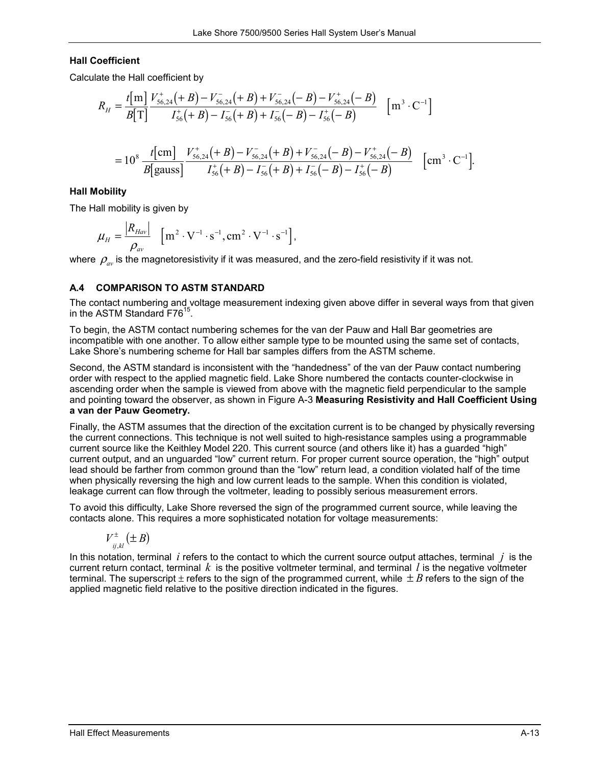## **Hall Coefficient**

Calculate the Hall coefficient by

$$
R_{H} = \frac{t[m]}{B[T]} \frac{V_{56,24}^{+}(+B) - V_{56,24}^{-}(+B) + V_{56,24}^{-}(+B) - V_{56,24}^{+}(+B)}{I_{56}^{+}(+B) - I_{56}^{-}(+B) + I_{56}^{-}(+B) - I_{56}^{+}(+B)} \quad [m^{3} \cdot C^{-1}]
$$
  
=  $10^{8} \frac{t[m]}{B[gauss]} \frac{V_{56,24}^{+}(+B) - V_{56,24}^{-}(+B) + V_{56,24}^{-}(+B) - V_{56,24}^{+}(+B)}{I_{56}^{+}(+B) - I_{56}^{-}(+B) + I_{56}^{-}(-B) - I_{56}^{+}(+B)} \quad [cm^{3} \cdot C^{-1}].$ 

### **Hall Mobility**

The Hall mobility is given by

$$
\mu_{H} = \frac{\left|R_{Hav}\right|}{\rho_{av}} \quad \left[\text{m}^{2} \cdot \text{V}^{-1} \cdot \text{s}^{-1}, \text{cm}^{2} \cdot \text{V}^{-1} \cdot \text{s}^{-1}\right],
$$

where  $\rho_m$  is the magnetoresistivity if it was measured, and the zero-field resistivity if it was not.

## **A.4 COMPARISON TO ASTM STANDARD**

The contact numbering and voltage measurement indexing given above differ in several ways from that given in the ASTM Standard F76<sup>15</sup>.

To begin, the ASTM contact numbering schemes for the van der Pauw and Hall Bar geometries are incompatible with one another. To allow either sample type to be mounted using the same set of contacts, Lake Shore's numbering scheme for Hall bar samples differs from the ASTM scheme.

Second, the ASTM standard is inconsistent with the "handedness" of the van der Pauw contact numbering order with respect to the applied magnetic field. Lake Shore numbered the contacts counter-clockwise in ascending order when the sample is viewed from above with the magnetic field perpendicular to the sample and pointing toward the observer, as shown in Figure A-3 **Measuring Resistivity and Hall Coefficient Using a van der Pauw Geometry.**

Finally, the ASTM assumes that the direction of the excitation current is to be changed by physically reversing the current connections. This technique is not well suited to high-resistance samples using a programmable current source like the Keithley Model 220. This current source (and others like it) has a guarded "high" current output, and an unguarded "low" current return. For proper current source operation, the "high" output lead should be farther from common ground than the "low" return lead, a condition violated half of the time when physically reversing the high and low current leads to the sample. When this condition is violated, leakage current can flow through the voltmeter, leading to possibly serious measurement errors.

To avoid this difficulty, Lake Shore reversed the sign of the programmed current source, while leaving the contacts alone. This requires a more sophisticated notation for voltage measurements:

$$
V_{ij,kl}^{\pm}(\pm B)
$$

In this notation, terminal *i* refers to the contact to which the current source output attaches, terminal *j* is the current return contact, terminal  $k$  is the positive voltmeter terminal, and terminal  $l$  is the negative voltmeter terminal. The superscript  $\pm$  refers to the sign of the programmed current, while  $\pm B$  refers to the sign of the applied magnetic field relative to the positive direction indicated in the figures.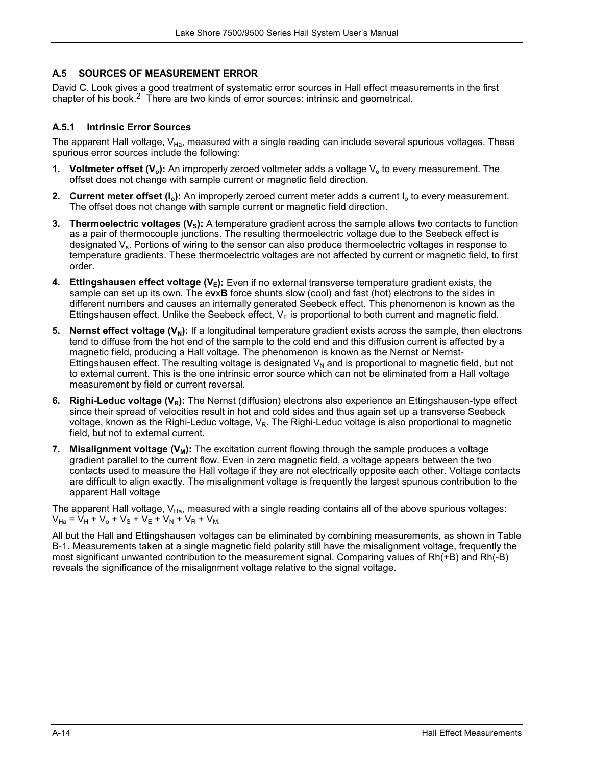## **A.5 SOURCES OF MEASUREMENT ERROR**

David C. Look gives a good treatment of systematic error sources in Hall effect measurements in the first chapter of his book.2 There are two kinds of error sources: intrinsic and geometrical.

## **A.5.1 Intrinsic Error Sources**

The apparent Hall voltage, V<sub>Ha</sub>, measured with a single reading can include several spurious voltages. These spurious error sources include the following:

- **1. Voltmeter offset (V<sub>o</sub>):** An improperly zeroed voltmeter adds a voltage V<sub>o</sub> to every measurement. The offset does not change with sample current or magnetic field direction.
- **2. Current meter offset (I<sub>o</sub>):** An improperly zeroed current meter adds a current I<sub>o</sub> to every measurement. The offset does not change with sample current or magnetic field direction.
- **3. Thermoelectric voltages (V<sub>s</sub>):** A temperature gradient across the sample allows two contacts to function as a pair of thermocouple junctions. The resulting thermoelectric voltage due to the Seebeck effect is designated  $V_s$ . Portions of wiring to the sensor can also produce thermoelectric voltages in response to temperature gradients. These thermoelectric voltages are not affected by current or magnetic field, to first order.
- **4. Ettingshausen effect voltage**  $(V<sub>E</sub>)$ **:** Even if no external transverse temperature gradient exists, the sample can set up its own. The e**v**x**B** force shunts slow (cool) and fast (hot) electrons to the sides in different numbers and causes an internally generated Seebeck effect. This phenomenon is known as the Ettingshausen effect. Unlike the Seebeck effect,  $V<sub>E</sub>$  is proportional to both current and magnetic field.
- **5. Nernst effect voltage**  $(V<sub>N</sub>)$ **:** If a longitudinal temperature gradient exists across the sample, then electrons tend to diffuse from the hot end of the sample to the cold end and this diffusion current is affected by a magnetic field, producing a Hall voltage. The phenomenon is known as the Nernst or Nernst-Ettingshausen effect. The resulting voltage is designated  $V<sub>N</sub>$  and is proportional to magnetic field, but not to external current. This is the one intrinsic error source which can not be eliminated from a Hall voltage measurement by field or current reversal.
- **6. Righi-Leduc voltage (V<sub>R</sub>):** The Nernst (diffusion) electrons also experience an Ettingshausen-type effect since their spread of velocities result in hot and cold sides and thus again set up a transverse Seebeck voltage, known as the Righi-Leduc voltage,  $V_R$ . The Righi-Leduc voltage is also proportional to magnetic field, but not to external current.
- **7. Misalignment voltage (** $V_M$ **):** The excitation current flowing through the sample produces a voltage gradient parallel to the current flow. Even in zero magnetic field, a voltage appears between the two contacts used to measure the Hall voltage if they are not electrically opposite each other. Voltage contacts are difficult to align exactly. The misalignment voltage is frequently the largest spurious contribution to the apparent Hall voltage

The apparent Hall voltage,  $V_{Ha}$ , measured with a single reading contains all of the above spurious voltages:  $V_{Ha} = V_H + V_o + V_S + V_E + V_N + V_R + V_{M.}$ 

All but the Hall and Ettingshausen voltages can be eliminated by combining measurements, as shown in Table B-1. Measurements taken at a single magnetic field polarity still have the misalignment voltage, frequently the most significant unwanted contribution to the measurement signal. Comparing values of Rh(+B) and Rh(-B) reveals the significance of the misalignment voltage relative to the signal voltage.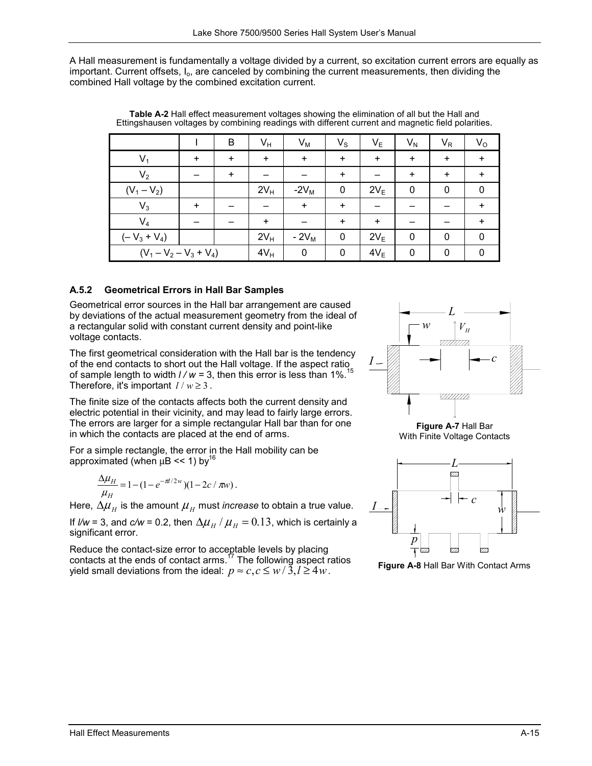A Hall measurement is fundamentally a voltage divided by a current, so excitation current errors are equally as important. Current offsets,  $I_{0}$ , are canceled by combining the current measurements, then dividing the combined Hall voltage by the combined excitation current.

|                           |           | B         | $V_H$     | $V_M$     | $V_{\rm S}$ | $V_{E}$   | $V_N$     | $V_R$     | $V_{\rm O}$ |
|---------------------------|-----------|-----------|-----------|-----------|-------------|-----------|-----------|-----------|-------------|
| $V_1$                     | $\ddot{}$ | $\ddot{}$ | $\ddot{}$ | $\ddot{}$ | $\ddot{}$   | $\ddot{}$ | $\ddot{}$ | $\ddot{}$ | $\ddot{}$   |
| V <sub>2</sub>            |           | +         |           |           | ÷.          |           | $\ddot{}$ | ÷.        | $\ddot{}$   |
| $(V_1 - V_2)$             |           |           | $2V_H$    | $-2V_M$   | 0           | $2V_E$    | $\pmb{0}$ | 0         | 0           |
| $V_3$                     | $\ddot{}$ |           |           | $\ddot{}$ | ÷.          |           |           |           | $\ddot{}$   |
| $V_4$                     |           |           | $\ddot{}$ |           | $\ddot{}$   | $\ddot{}$ |           |           | $\ddot{}$   |
| $(-V_3 + V_4)$            |           |           | $2V_H$    | $-2V_M$   | 0           | $2V_E$    | 0         | 0         | 0           |
| $(V_1 - V_2 - V_3 + V_4)$ |           | $4V_H$    | 0         | 0         | $4V_E$      | 0         | 0         | 0         |             |

**Table A-2** Hall effect measurement voltages showing the elimination of all but the Hall and Ettingshausen voltages by combining readings with different current and magnetic field polarities.

# **A.5.2 Geometrical Errors in Hall Bar Samples**

Geometrical error sources in the Hall bar arrangement are caused by deviations of the actual measurement geometry from the ideal of a rectangular solid with constant current density and point-like voltage contacts.

The first geometrical consideration with the Hall bar is the tendency of the end contacts to short out the Hall voltage. If the aspect ratio of sample length to width  $1/w = 3$ , then this error is less than 1%.<sup>15</sup> Therefore, it's important  $l / w \ge 3$ .

The finite size of the contacts affects both the current density and electric potential in their vicinity, and may lead to fairly large errors. The errors are larger for a simple rectangular Hall bar than for one in which the contacts are placed at the end of arms.

For a simple rectangle, the error in the Hall mobility can be approximated (when  $\mu$ B << 1) by<sup>16</sup>

$$
\frac{\Delta \mu_H}{\mu_H} = 1 - (1 - e^{-\pi l/2w})(1 - 2c / \pi w).
$$

Here,  $\Delta \mu_H$  is the amount  $\mu_H$  must *increase* to obtain a true value.

If  $\ell / w = 3$ , and  $c/w = 0.2$ , then  $\Delta \mu_H / \mu_H = 0.13$ , which is certainly a significant error.

Reduce the contact-size error to acceptable levels by placing contacts at the ends of contact arms.<sup>17</sup> The following aspect ratios yield small deviations from the ideal:  $p \approx c, c \leq w/\tilde{3}, l \geq 4w$ .



**Figure A-7** Hall Bar With Finite Voltage Contacts



**Figure A-8** Hall Bar With Contact Arms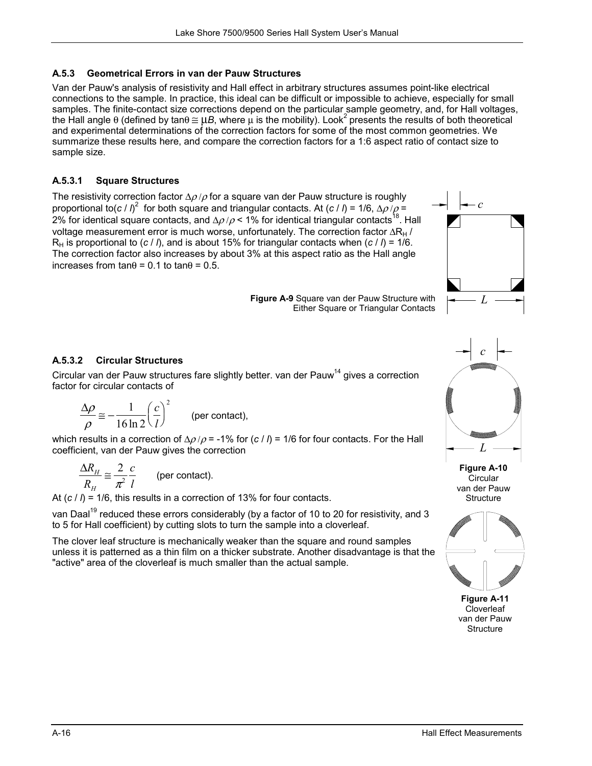# **A.5.3 Geometrical Errors in van der Pauw Structures**

Van der Pauw's analysis of resistivity and Hall effect in arbitrary structures assumes point-like electrical connections to the sample. In practice, this ideal can be difficult or impossible to achieve, especially for small samples. The finite-contact size corrections depend on the particular sample geometry, and, for Hall voltages, the Hall angle  $\theta$  (defined by tan $\theta \cong \mu B$ , where  $\mu$  is the mobility). Look<sup>2</sup> presents the results of both theoretical and experimental determinations of the correction factors for some of the most common geometries. We summarize these results here, and compare the correction factors for a 1:6 aspect ratio of contact size to sample size.

# **A.5.3.1 Square Structures**

The resistivity correction factor  $\Delta \rho / \rho$  for a square van der Pauw structure is roughly proportional to(*c* /  $I$ )<sup>2</sup> for both square and triangular contacts. At (*c* / *l*) = 1/6,  $\Delta \rho / \rho$  = 2% for identical square contacts, and  $\Delta \rho / \rho$  < 1% for identical triangular contacts<sup>18</sup>. Hall voltage measurement error is much worse, unfortunately. The correction factor ∆R<sub>H</sub> /  $R_H$  is proportional to (*c* / *l*), and is about 15% for triangular contacts when (*c* / *l*) = 1/6. The correction factor also increases by about 3% at this aspect ratio as the Hall angle increases from tanθ = 0.1 to tanθ = 0.5.



**Figure A-9** Square van der Pauw Structure with Either Square or Triangular Contacts

# **A.5.3.2 Circular Structures**

Circular van der Pauw structures fare slightly better. van der Pauw<sup>14</sup> gives a correction factor for circular contacts of

$$
\frac{\Delta \rho}{\rho} \approx -\frac{1}{16 \ln 2} \left(\frac{c}{l}\right)^2
$$
 (per contact),

which results in a correction of ∆ρ /ρ = -1% for (*c* / *l*) = 1/6 for four contacts. For the Hall coefficient, van der Pauw gives the correction

$$
\frac{\Delta R_{H}}{R_{H}} \cong \frac{2}{\pi^{2}} \frac{c}{l}
$$
 (per contact).

At (*c* / *l*) = 1/6, this results in a correction of 13% for four contacts.

van Daal<sup>19</sup> reduced these errors considerably (by a factor of 10 to 20 for resistivity, and 3 to 5 for Hall coefficient) by cutting slots to turn the sample into a cloverleaf.

The clover leaf structure is mechanically weaker than the square and round samples unless it is patterned as a thin film on a thicker substrate. Another disadvantage is that the "active" area of the cloverleaf is much smaller than the actual sample.



**Figure A-10 Circular** van der Pauw **Structure** 



**Figure A-11**  Cloverleaf van der Pauw **Structure**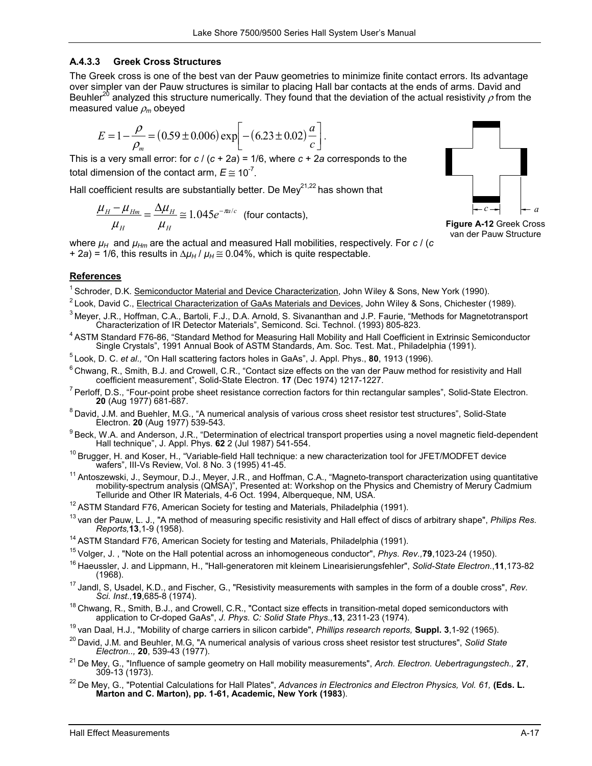# **A.4.3.3 Greek Cross Structures**

The Greek cross is one of the best van der Pauw geometries to minimize finite contact errors. Its advantage over simpler van der Pauw structures is similar to placing Hall bar contacts at the ends of arms. David and Beuhler<sup>20</sup> analyzed this structure numerically. They found that the deviation of the actual resistivity  $\rho$  from the measured value ρ*m* obeyed

$$
E = 1 - \frac{\rho}{\rho_m} = (0.59 \pm 0.006) \exp \left[ - (6.23 \pm 0.02) \frac{a}{c} \right].
$$

This is a very small error: for *c* / (*c* + 2*a*) = 1/6, where *c* + 2*a* corresponds to the total dimension of the contact arm,  $E \approx 10^{-7}$ .

Hall coefficient results are substantially better. De Mey<sup>21,22</sup> has shown that

$$
\frac{\mu_{H} - \mu_{Hm}}{\mu_{H}} = \frac{\Delta \mu_{H}}{\mu_{H}} \approx 1.045 e^{-\pi a/c}
$$
 (four contacts),

*H H* where  $\mu_H$  and  $\mu_{Hm}$  are the actual and measured Hall mobilities, respectively. For  $c$  / (*c* + 2*a*) = 1/6, this results in  $\Delta \mu_H / \mu_H \approx 0.04\%$ , which is quite respectable.



**Figure A-12** Greek Cross van der Pauw Structure

## **References**

- 
- <sup>1</sup> Schroder, D.K. <u>Semiconductor Material and Device Characterization</u>, John Wiley & Sons, New York (1990).<br><sup>2</sup> Look, David C., <u>Electrical Characterization of GaAs Materials and Devices</u>, John Wiley & Sons, Chichester (1
- <sup>4</sup> ASTM Standard F76-86, "Standard Method for Measuring Hall Mobility and Hall Coefficient in Extrinsic Semiconductor<br>Single Crystals", 1991 Annual Book of ASTM Standards, Am. Soc. Test. Mat., Philadelphia (1991).
- 
- $^5$  Look, D. C. *et al.,* "On Hall scattering factors holes in GaAs", J. Appl. Phys., **80**, 1913 (1996).<br><sup>6</sup> Chwang, R., Smith, B.J. and Crowell, C.R., "Contact size effects on the van der Pauw method for resistivity and
- <sup>7</sup> Perloff, D.S., "Four-point probe sheet resistance correction factors for thin rectangular samples", Solid-State Electron.<br>**20** (Aug 1977) 681-687.
- <sup>8</sup> David, J.M. and Buehler, M.G., "A numerical analysis of various cross sheet resistor test structures", Solid-State Electron. 20 (Aug 1977) 539-543.
- <sup>9</sup> Beck, W.A. and Anderson, J.R., "Determination of electrical transport properties using a novel magnetic field-dependent Hall technique", J. Appl. Phys. 62 2 (Jul 1987) 541-554.
- <sup>10</sup> Brugger, H. and Koser, H., "Variable-field Hall technique: a new characterization tool for JFET/MODFET device<br>wafers", III-Vs Review, Vol. 8 No. 3 (1995) 41-45.
- wafers", III-Vs Review, Vol. 8 No. 3 (1995) 41-45.<br><sup>11</sup> Antoszewski, J., Seymour, D.J., Meyer, J.R., and Hoffman, C.A., "Magneto-transport characterization using quantitative mobility-spectrum analysis (QMSA)", Presented at: Workshop on the Physics and Chemistry of Merury Cadmium

- <sup>12</sup> ASTM Standard F76, American Society for testing and Materials, Philadelphia (1991).<br><sup>13</sup> van der Pauw, L. J., "A method of measuring specific resistivity and Hall effect of discs of arbitrary shape", *Philips Res.*<br>Re
- 
- 
- <sup>14</sup> ASTM Standard F76, American Society for testing and Materials, Philadelphia (1991).<br><sup>15</sup> Volger, J. , "Note on the Hall potential across an inhomogeneous conductor", *Phys. Rev.*, **79**, 1023-24 (1950).<br><sup>16</sup> Haeussler,
- <sup>17</sup> Jandl, S, Usadel, K.D., and Fischer, G., "Resistivity measurements with samples in the form of a double cross", *Rev. Sci. Inst.*,19,685-8 (1974).

<sup>18</sup> Chwang, R., Smith, B.J., and Crowell, C.R., "Contact size effects in transition-metal doped semiconductors with application to Cr-doped GaAs", *J. Phys. C: Solid State Phys.*, **13**, 2311-23 (1974).

- <sup>19</sup> van Daal, H.J., "Mobility of charge carriers in silicon carbide", *Phillips research reports,* **Suppl. 3**,1-92 (1965).<br><sup>20</sup> David, J.M. and Beuhler, M.G, "A numerical analysis of various cross sheet resistor test str
- <sup>21</sup> De Mey, G., "Influence of sample geometry on Hall mobility measurements", *Arch. Electron. Uebertragungstech.,* 27, 309-13 (1973).
- <sup>22</sup> De Mev, G., "Potential Calculations for Hall Plates", *Advances in Electronics and Electron Physics, Vol. 61*, **(Eds. L. Marton and C. Marton), pp. 1-61, Academic, New York (1983**).